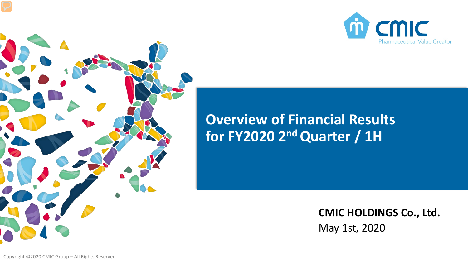



# **Overview of Financial Results for FY2020 2ndQuarter / 1H**

May 1st, 2020 **CMIC HOLDINGS Co., Ltd.**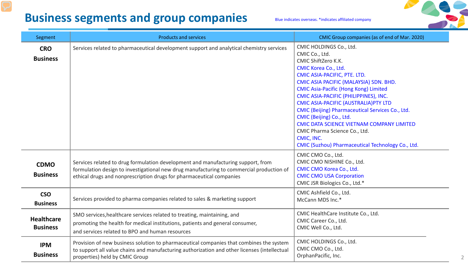## **Business segments and group companies** Blue indicates overseas. \*indicates affiliated company



| Segment                              | <b>Products and services</b>                                                                                                                                                                                                                         | CMIC Group companies (as of end of Mar. 2020)                                                                                                                                                                                                                                                                                                                                                                                                                                                                                                |
|--------------------------------------|------------------------------------------------------------------------------------------------------------------------------------------------------------------------------------------------------------------------------------------------------|----------------------------------------------------------------------------------------------------------------------------------------------------------------------------------------------------------------------------------------------------------------------------------------------------------------------------------------------------------------------------------------------------------------------------------------------------------------------------------------------------------------------------------------------|
| <b>CRO</b><br><b>Business</b>        | Services related to pharmaceutical development support and analytical chemistry services                                                                                                                                                             | CMIC HOLDINGS Co., Ltd.<br>CMIC Co., Ltd.<br>CMIC ShiftZero K.K.<br><b>CMIC Korea Co., Ltd.</b><br>CMIC ASIA-PACIFIC, PTE. LTD.<br>CMIC ASIA PACIFIC (MALAYSIA) SDN. BHD.<br><b>CMIC Asia-Pacific (Hong Kong) Limited</b><br>CMIC ASIA-PACIFIC (PHILIPPINES), INC.<br>CMIC ASIA-PACIFIC (AUSTRALIA) PTY LTD<br>CMIC (Beijing) Pharmaceutical Services Co., Ltd.<br>CMIC (Beijing) Co., Ltd.<br>CMIC DATA SCIENCE VIETNAM COMPANY LIMITED<br>CMIC Pharma Science Co., Ltd.<br>CMIC, INC.<br>CMIC (Suzhou) Pharmaceutical Technology Co., Ltd. |
| <b>CDMO</b><br><b>Business</b>       | Services related to drug formulation development and manufacturing support, from<br>formulation design to investigational new drug manufacturing to commercial production of<br>ethical drugs and nonprescription drugs for pharmaceutical companies | CMIC CMO Co., Ltd.<br>CMIC CMO NISHINE Co., Ltd.<br>CMIC CMO Korea Co., Ltd.<br><b>CMIC CMO USA Corporation</b><br>CMIC JSR Biologics Co., Ltd.*                                                                                                                                                                                                                                                                                                                                                                                             |
| <b>CSO</b><br><b>Business</b>        | Services provided to pharma companies related to sales & marketing support                                                                                                                                                                           | CMIC Ashfield Co., Ltd.<br>McCann MDS Inc.*                                                                                                                                                                                                                                                                                                                                                                                                                                                                                                  |
| <b>Healthcare</b><br><b>Business</b> | SMO services, healthcare services related to treating, maintaining, and<br>promoting the health for medical institutions, patients and general consumer,<br>and services related to BPO and human resources                                          | CMIC HealthCare Institute Co., Ltd.<br>CMIC Career Co., Ltd.<br>CMIC Well Co., Ltd.                                                                                                                                                                                                                                                                                                                                                                                                                                                          |
| <b>IPM</b><br><b>Business</b>        | Provision of new business solution to pharmaceutical companies that combines the system<br>to support all value chains and manufacturing authorization and other licenses (intellectual<br>properties) held by CMIC Group                            | CMIC HOLDINGS Co., Ltd.<br>CMIC CMO Co., Ltd.<br>OrphanPacific, Inc.                                                                                                                                                                                                                                                                                                                                                                                                                                                                         |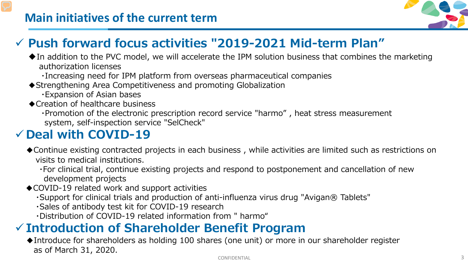

## **Push forward focus activities "2019-2021 Mid-term Plan"**

- $\blacklozenge$  In addition to the PVC model, we will accelerate the IPM solution business that combines the marketing authorization licenses
	- ・Increasing need for IPM platform from overseas pharmaceutical companies
- ◆ Strengthening Area Competitiveness and promoting Globalization
	- ・Expansion of Asian bases
- ◆Creation of healthcare business
	- ・Promotion of the electronic prescription record service "harmo" , heat stress measurement system, self-inspection service "SelCheck"

# **Deal with COVID-19**

- ◆Continue existing contracted projects in each business, while activities are limited such as restrictions on visits to medical institutions.
	- ・For clinical trial, continue existing projects and respond to postponement and cancellation of new development projects
- ◆COVID-19 related work and support activities
	- ・Support for clinical trials and production of anti-influenza virus drug "Avigan® Tablets"
	- ・Sales of antibody test kit for COVID-19 research
	- ・Distribution of COVID-19 related information from " harmo"

# **Introduction of Shareholder Benefit Program**

◆Introduce for shareholders as holding 100 shares (one unit) or more in our shareholder register as of March 31, 2020.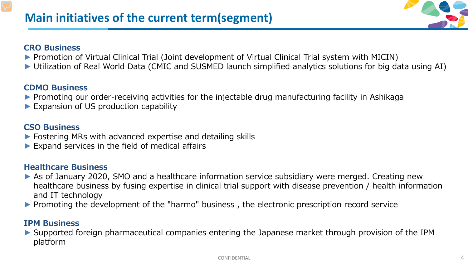#### **CRO Business**

- ► Promotion of Virtual Clinical Trial (Joint development of Virtual Clinical Trial system with MICIN)
- ► Utilization of Real World Data (CMIC and SUSMED launch simplified analytics solutions for big data using AI)

#### **CDMO Business**

- ▶ Promoting our order-receiving activities for the injectable drug manufacturing facility in Ashikaga
- ► Expansion of US production capability

#### **CSO Business**

- ► Fostering MRs with advanced expertise and detailing skills
- $\blacktriangleright$  Expand services in the field of medical affairs

#### **Healthcare Business**

- ► As of January 2020, SMO and a healthcare information service subsidiary were merged. Creating new healthcare business by fusing expertise in clinical trial support with disease prevention / health information and IT technology
- ► Promoting the development of the "harmo" business , the electronic prescription record service

#### **IPM Business**

► Supported foreign pharmaceutical companies entering the Japanese market through provision of the IPM platform

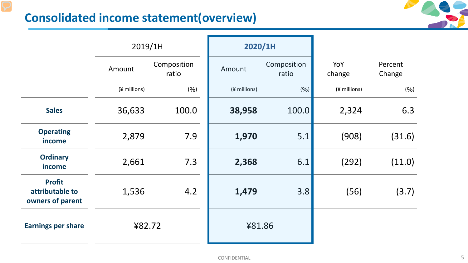### **Consolidated income statement(overview)**



|                                                      | 2019/1H      |                      | 2020/1H      |                      |               |                   |
|------------------------------------------------------|--------------|----------------------|--------------|----------------------|---------------|-------------------|
|                                                      | Amount       | Composition<br>ratio | Amount       | Composition<br>ratio | YoY<br>change | Percent<br>Change |
|                                                      | (¥ millions) | (9/0)                | (¥ millions) | (9/0)                | (¥ millions)  | (9/0)             |
| <b>Sales</b>                                         | 36,633       | 100.0                | 38,958       | 100.0                | 2,324         | 6.3               |
| <b>Operating</b><br>income                           | 2,879        | 7.9                  | 1,970        | 5.1                  | (908)         | (31.6)            |
| <b>Ordinary</b><br>income                            | 2,661        | 7.3                  | 2,368        | 6.1                  | (292)         | (11.0)            |
| <b>Profit</b><br>attributable to<br>owners of parent | 1,536        | 4.2                  | 1,479        | 3.8                  | (56)          | (3.7)             |
| <b>Earnings per share</b>                            | ¥82.72       |                      | ¥81.86       |                      |               |                   |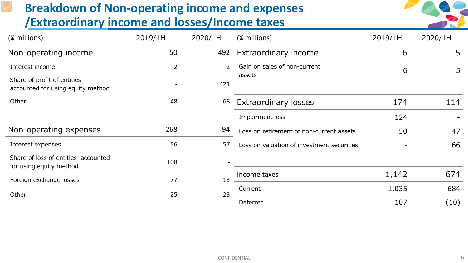### **Breakdown of Non-operating income and expenses /Extraordinary income and losses/Income taxes**



| $(*$ millions)                                                   | 2019/1H        | 2020/1H        | $(*millions)$                              | 2019/1H | 2020/1H |
|------------------------------------------------------------------|----------------|----------------|--------------------------------------------|---------|---------|
| Non-operating income                                             | 50             |                | 492 Extraordinary income                   | 6       | 5       |
| Interest income                                                  | $\overline{2}$ | $\overline{2}$ | Gain on sales of non-current               | 6       | 5       |
| Share of profit of entities<br>accounted for using equity method |                | 421            | assets                                     |         |         |
| Other                                                            | 48             | 68             | <b>Extraordinary losses</b>                | 174     | 114     |
|                                                                  |                |                | Impairment loss                            | 124     |         |
| Non-operating expenses                                           | 268            | 94             | Loss on retirement of non-current assets   | 50      | 47      |
| Interest expenses                                                | 56             | 57             | Loss on valuation of investment securities |         | 66      |
| Share of loss of entities accounted<br>for using equity method   | 108            |                |                                            |         |         |
| Foreign exchange losses                                          | 77             | 13             | Income taxes                               | 1,142   | 674     |
| Other                                                            | 25             | 23             | Current                                    | 1,035   | 684     |
|                                                                  |                |                | Deferred                                   | 107     | (10)    |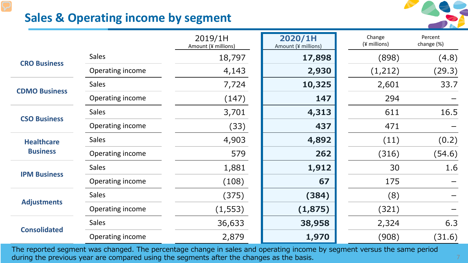

### **Sales & Operating income by segment**

|                                      |                  | 2019/1H<br>Amount (¥ millions) | 2020/1H<br>Amount (¥ millions) | Change<br>(¥ millions) | Percent<br>change (%) |
|--------------------------------------|------------------|--------------------------------|--------------------------------|------------------------|-----------------------|
| <b>CRO Business</b>                  | <b>Sales</b>     | 18,797                         | 17,898                         | (898)                  | (4.8)                 |
|                                      | Operating income | 4,143                          | 2,930                          | (1,212)                | (29.3)                |
| <b>CDMO Business</b>                 | <b>Sales</b>     | 7,724                          | 10,325                         | 2,601                  | 33.7                  |
|                                      | Operating income | (147)                          | 147                            | 294                    |                       |
| <b>CSO Business</b>                  | <b>Sales</b>     | 3,701                          | 4,313                          | 611                    | 16.5                  |
|                                      | Operating income | (33)                           | 437                            | 471                    |                       |
| <b>Healthcare</b><br><b>Business</b> | <b>Sales</b>     | 4,903                          | 4,892                          | (11)                   | (0.2)                 |
|                                      | Operating income | 579                            | 262                            | (316)                  | (54.6)                |
|                                      | <b>Sales</b>     | 1,881                          | 1,912                          | 30                     | 1.6                   |
| <b>IPM Business</b>                  | Operating income | (108)                          | 67                             | 175                    |                       |
| <b>Adjustments</b>                   | <b>Sales</b>     | (375)                          | (384)                          | (8)                    |                       |
|                                      | Operating income | (1, 553)                       | (1,875)                        | (321)                  |                       |
| <b>Consolidated</b>                  | <b>Sales</b>     | 36,633                         | 38,958                         | 2,324                  | 6.3                   |
|                                      | Operating income | 2,879                          | 1,970                          | (908)                  | (31.6)                |

during the previous year are compared using the segments after the changes as the basis.  $\sim 7\,$ The reported segment was changed. The percentage change in sales and operating income by segment versus the same period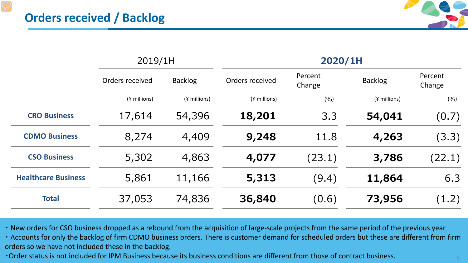

|                            | 2019/1H         |                | 2020/1H         |                   |                |                   |
|----------------------------|-----------------|----------------|-----------------|-------------------|----------------|-------------------|
|                            | Orders received | <b>Backlog</b> | Orders received | Percent<br>Change | <b>Backlog</b> | Percent<br>Change |
|                            | $(*$ millions)  | $(*$ millions) | $(*$ millions)  | (9/6)             | $(*$ millions) | (9/0)             |
| <b>CRO Business</b>        | 17,614          | 54,396         | 18,201          | 3.3               | 54,041         | (0.7)             |
| <b>CDMO Business</b>       | 8,274           | 4,409          | 9,248           | 11.8              | 4,263          | (3.3)             |
| <b>CSO Business</b>        | 5,302           | 4,863          | 4,077           | (23.1)            | 3,786          | (22.1)            |
| <b>Healthcare Business</b> | 5,861           | 11,166         | 5,313           | (9.4)             | 11,864         | 6.3               |
| <b>Total</b>               | 37,053          | 74,836         | 36,840          | (0.6)             | 73,956         | (1.2)             |

・ New orders for CSO business dropped as a rebound from the acquisition of large-scale projects from the same period of the previous year

・ Accounts for only the backlog of firm CDMO business orders. There is customer demand for scheduled orders but these are different from firm orders so we have not included these in the backlog.

• Order status is not included for IPM Business because its business conditions are different from those of contract business.  $\sim$  8  $\,$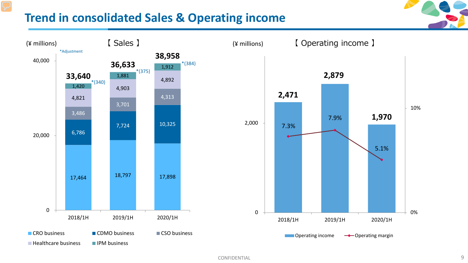#### **Trend in consolidated Sales & Operating income**



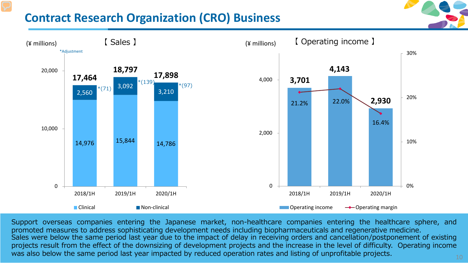### **Contract Research Organization (CRO) Business**





was also below the same period last year impacted by reduced operation rates and listing of unprofitable projects.  $\rm _{10}$ Support overseas companies entering the Japanese market, non-healthcare companies entering the healthcare sphere, and promoted measures to address sophisticating development needs including biopharmaceuticals and regenerative medicine. Sales were below the same period last year due to the impact of delay in receiving orders and cancellation/postponement of existing projects result from the effect of the downsizing of development projects and the increase in the level of difficulty. Operating income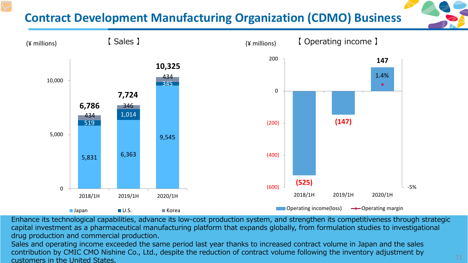# **Contract Development Manufacturing Organization (CDMO) Business**



Enhance its technological capabilities, advance its low-cost production system, and strengthen its competitiveness through strategic capital investment as a pharmaceutical manufacturing platform that expands globally, from formulation studies to investigational drug production and commercial production.

 $\sim$  11 Sales and operating income exceeded the same period last year thanks to increased contract volume in Japan and the sales contribution by CMIC CMO Nishine Co., Ltd., despite the reduction of contract volume following the inventory adjustment by customers in the United States.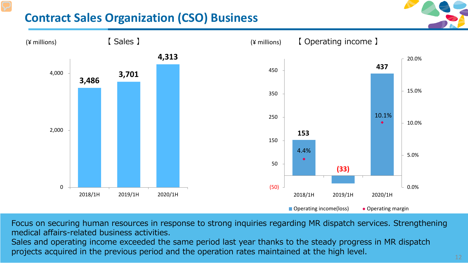## **Contract Sales Organization (CSO) Business**



Focus on securing human resources in response to strong inquiries regarding MR dispatch services. Strengthening medical affairs-related business activities. Sales and operating income exceeded the same period last year thanks to the steady progress in MR dispatch

 $\sim$  12 matrix  $\sim$  12 matrix  $\sim$  12 matrix  $\sim$  12 matrix  $\sim$  12 matrix  $\sim$  12 projects acquired in the previous period and the operation rates maintained at the high level.  $12$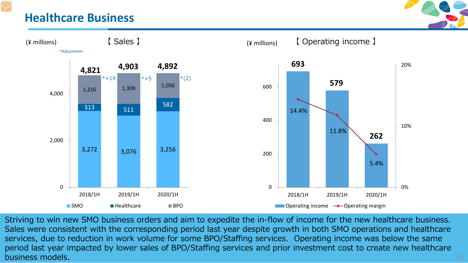#### **Healthcare Business**





Confidential confidential  $\sim 13$  and  $\sim 13$ Striving to win new SMO business orders and aim to expedite the in-flow of income for the new healthcare business. Sales were consistent with the corresponding period last year despite growth in both SMO operations and healthcare services, due to reduction in work volume for some BPO/Staffing services. Operating income was below the same period last year impacted by lower sales of BPO/Staffing services and prior investment cost to create new healthcare business models. The contract of the contract of the contract of the contract of the contract of the contract o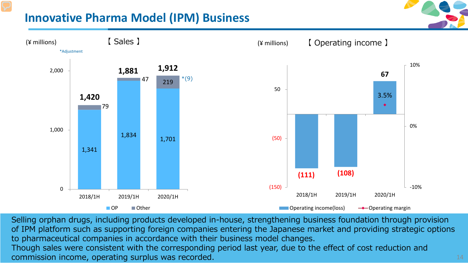### **Innovative Pharma Model (IPM) Business**



Selling orphan drugs, including products developed in-house, strengthening business foundation through provision of IPM platform such as supporting foreign companies entering the Japanese market and providing strategic options to pharmaceutical companies in accordance with their business model changes.

. The confidence of the confidence of the confidence of the confidence of  $14\,$ Though sales were consistent with the corresponding period last year, due to the effect of cost reduction and commission income, operating surplus was recorded. 14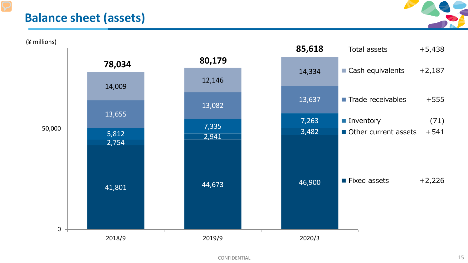#### **Balance sheet (assets)**



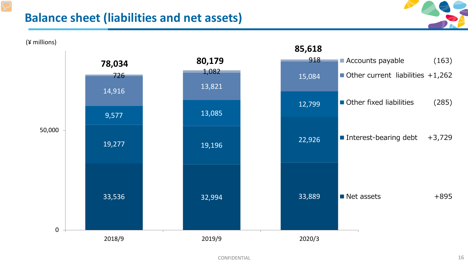#### **Balance sheet (liabilities and net assets)**



33,536 32,994 33,889 19,277 19,196 22,926 9,577 13,085 12,799 14,916 13,821 **1,082** 1,084 15,084 <sup>918</sup>**78,034 80,179 85,618**  0 50,000 2018/9 2019/9 2020/3 ■ Accounts payable (163)  $\blacksquare$  Other current liabilities  $+1,262$ ■ Other fixed liabilities (285) ■ Interest-bearing debt  $+3,729$  $\blacksquare$  Net assets  $+895$ (¥ millions)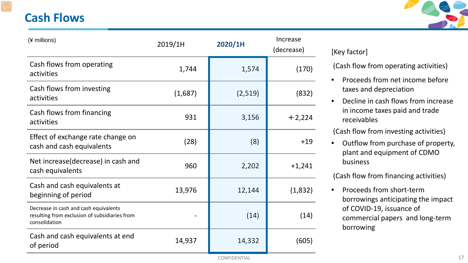#### **Cash Flows**



| (¥ millions)                                                                                            | 2019/1H | 2020/1H | Increase<br>(decrease) |
|---------------------------------------------------------------------------------------------------------|---------|---------|------------------------|
| Cash flows from operating<br>activities                                                                 | 1,744   | 1,574   | (170)                  |
| Cash flows from investing<br>activities                                                                 | (1,687) | (2,519) | (832)                  |
| Cash flows from financing<br>activities                                                                 | 931     | 3,156   | $+2,224$               |
| Effect of exchange rate change on<br>cash and cash equivalents                                          | (28)    | (8)     | $+19$                  |
| Net increase(decrease) in cash and<br>cash equivalents                                                  | 960     | 2,202   | $+1,241$               |
| Cash and cash equivalents at<br>beginning of period                                                     | 13,976  | 12,144  | (1,832)                |
| Decrease in cash and cash equivalents<br>resulting from exclusion of subsidiaries from<br>consolidation |         | (14)    | (14)                   |
| Cash and cash equivalents at end<br>of period                                                           | 14,937  | 14,332  | (605)                  |

#### [Key factor]

(Cash flow from operating activities)

- Proceeds from net income before taxes and depreciation
- Decline in cash flows from increase in income taxes paid and trade receivables

(Cash flow from investing activities)

• Outflow from purchase of property, plant and equipment of CDMO business

(Cash flow from financing activities)

• Proceeds from short-term borrowings anticipating the impact of COVID-19, issuance of commercial papers and long-term borrowing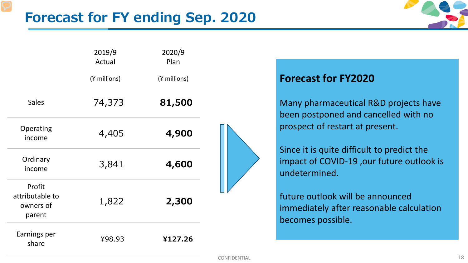

|                                                  | 2019/9<br>Actual | 2020/9<br>Plan |  |
|--------------------------------------------------|------------------|----------------|--|
|                                                  | (¥ millions)     | (¥ millions)   |  |
| <b>Sales</b>                                     | 74,373           | 81,500         |  |
| Operating<br>income                              | 4,405            | 4,900          |  |
| Ordinary<br>income                               | 3,841            | 4,600          |  |
| Profit<br>attributable to<br>owners of<br>parent | 1,822            | 2,300          |  |
| Earnings per<br>share                            | ¥98.93           | ¥127.26        |  |

#### **Forecast for FY2020**

Many pharmaceutical R&D projects have been postponed and cancelled with no prospect of restart at present.

Since it is quite difficult to predict the impact of COVID-19 ,our future outlook is undetermined.

future outlook will be announced immediately after reasonable calculation becomes possible.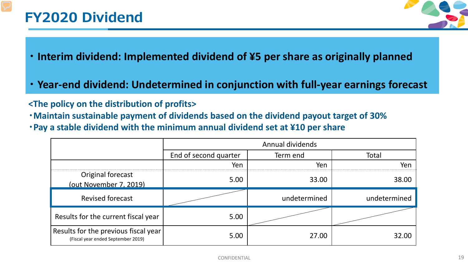# **FY2020 Dividend**



- **・ Interim dividend: Implemented dividend of ¥5 per share as originally planned**
- **・ Year-end dividend: Undetermined in conjunction with full-year earnings forecast**

#### **<The policy on the distribution of profits>**

- **・Maintain sustainable payment of dividends based on the dividend payout target of 30%**
- **・Pay a stable dividend with the minimum annual dividend set at ¥10 per share**

|                                                                            | Annual dividends      |              |              |  |  |
|----------------------------------------------------------------------------|-----------------------|--------------|--------------|--|--|
|                                                                            | End of second quarter | Term end     | Total        |  |  |
|                                                                            | Yen                   | Yen          | Yen          |  |  |
| Original forecast<br>(out November 7, 2019)                                | 5.00                  | 33.00        | 38.00        |  |  |
| <b>Revised forecast</b>                                                    |                       | undetermined | undetermined |  |  |
| Results for the current fiscal year                                        | 5.00                  |              |              |  |  |
| Results for the previous fiscal year<br>(Fiscal year ended September 2019) | 5.00                  | 27.00        | 32.OC        |  |  |